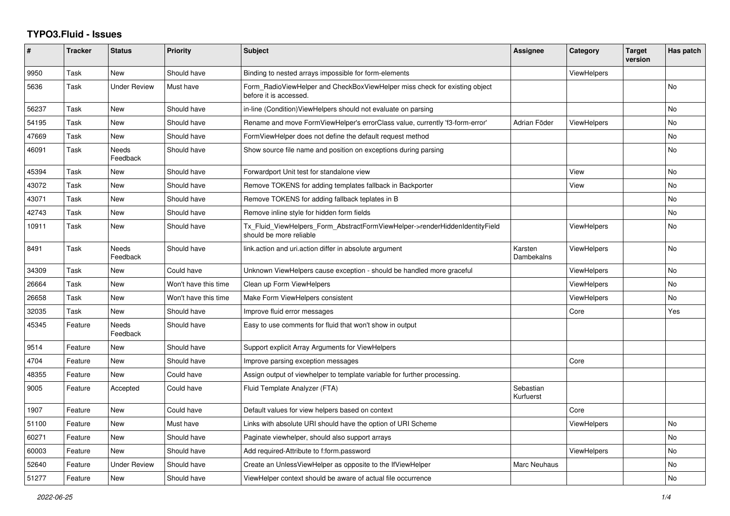## **TYPO3.Fluid - Issues**

| ∦     | <b>Tracker</b> | <b>Status</b>            | Priority             | Subject                                                                                                | <b>Assignee</b>        | Category           | <b>Target</b><br>version | Has patch |
|-------|----------------|--------------------------|----------------------|--------------------------------------------------------------------------------------------------------|------------------------|--------------------|--------------------------|-----------|
| 9950  | Task           | <b>New</b>               | Should have          | Binding to nested arrays impossible for form-elements                                                  |                        | ViewHelpers        |                          |           |
| 5636  | Task           | Under Review             | Must have            | Form_RadioViewHelper and CheckBoxViewHelper miss check for existing object<br>before it is accessed.   |                        |                    |                          | No        |
| 56237 | Task           | New                      | Should have          | in-line (Condition) View Helpers should not evaluate on parsing                                        |                        |                    |                          | No        |
| 54195 | Task           | New                      | Should have          | Rename and move FormViewHelper's errorClass value, currently 'f3-form-error'                           | Adrian Föder           | <b>ViewHelpers</b> |                          | No        |
| 47669 | Task           | <b>New</b>               | Should have          | FormViewHelper does not define the default request method                                              |                        |                    |                          | No        |
| 46091 | Task           | <b>Needs</b><br>Feedback | Should have          | Show source file name and position on exceptions during parsing                                        |                        |                    |                          | No        |
| 45394 | Task           | <b>New</b>               | Should have          | Forwardport Unit test for standalone view                                                              |                        | View               |                          | No        |
| 43072 | Task           | New                      | Should have          | Remove TOKENS for adding templates fallback in Backporter                                              |                        | View               |                          | <b>No</b> |
| 43071 | Task           | New                      | Should have          | Remove TOKENS for adding fallback teplates in B                                                        |                        |                    |                          | No        |
| 42743 | Task           | <b>New</b>               | Should have          | Remove inline style for hidden form fields                                                             |                        |                    |                          | No        |
| 10911 | Task           | <b>New</b>               | Should have          | Tx_Fluid_ViewHelpers_Form_AbstractFormViewHelper->renderHiddenIdentityField<br>should be more reliable |                        | <b>ViewHelpers</b> |                          | No        |
| 8491  | Task           | Needs<br>Feedback        | Should have          | link.action and uri.action differ in absolute argument                                                 | Karsten<br>Dambekalns  | <b>ViewHelpers</b> |                          | No        |
| 34309 | Task           | New                      | Could have           | Unknown ViewHelpers cause exception - should be handled more graceful                                  |                        | <b>ViewHelpers</b> |                          | No        |
| 26664 | Task           | New                      | Won't have this time | Clean up Form ViewHelpers                                                                              |                        | <b>ViewHelpers</b> |                          | No        |
| 26658 | Task           | <b>New</b>               | Won't have this time | Make Form ViewHelpers consistent                                                                       |                        | <b>ViewHelpers</b> |                          | No        |
| 32035 | Task           | New                      | Should have          | Improve fluid error messages                                                                           |                        | Core               |                          | Yes       |
| 45345 | Feature        | Needs<br>Feedback        | Should have          | Easy to use comments for fluid that won't show in output                                               |                        |                    |                          |           |
| 9514  | Feature        | <b>New</b>               | Should have          | Support explicit Array Arguments for ViewHelpers                                                       |                        |                    |                          |           |
| 4704  | Feature        | New                      | Should have          | Improve parsing exception messages                                                                     |                        | Core               |                          |           |
| 48355 | Feature        | <b>New</b>               | Could have           | Assign output of viewhelper to template variable for further processing.                               |                        |                    |                          |           |
| 9005  | Feature        | Accepted                 | Could have           | Fluid Template Analyzer (FTA)                                                                          | Sebastian<br>Kurfuerst |                    |                          |           |
| 1907  | Feature        | New                      | Could have           | Default values for view helpers based on context                                                       |                        | Core               |                          |           |
| 51100 | Feature        | New                      | Must have            | Links with absolute URI should have the option of URI Scheme                                           |                        | <b>ViewHelpers</b> |                          | No        |
| 60271 | Feature        | New                      | Should have          | Paginate viewhelper, should also support arrays                                                        |                        |                    |                          | No        |
| 60003 | Feature        | <b>New</b>               | Should have          | Add required-Attribute to f:form.password                                                              |                        | <b>ViewHelpers</b> |                          | No.       |
| 52640 | Feature        | <b>Under Review</b>      | Should have          | Create an UnlessViewHelper as opposite to the IfViewHelper                                             | Marc Neuhaus           |                    |                          | No        |
| 51277 | Feature        | New                      | Should have          | ViewHelper context should be aware of actual file occurrence                                           |                        |                    |                          | No        |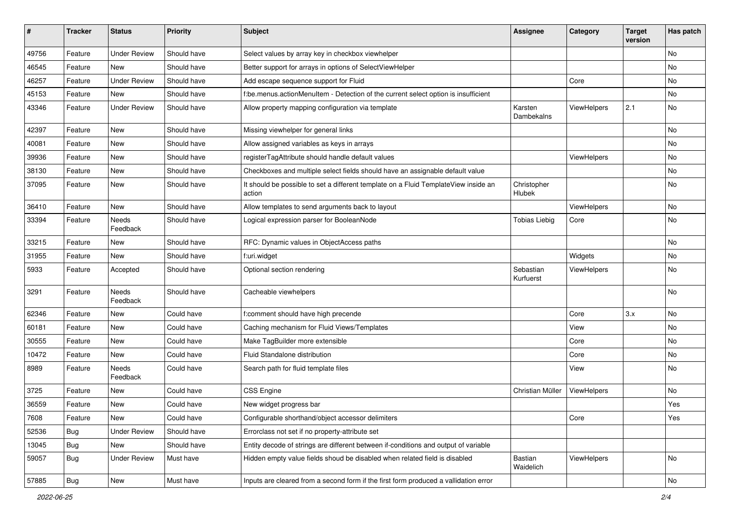| #     | <b>Tracker</b> | <b>Status</b>            | <b>Priority</b> | <b>Subject</b>                                                                                | <b>Assignee</b>        | Category    | <b>Target</b><br>version | Has patch |
|-------|----------------|--------------------------|-----------------|-----------------------------------------------------------------------------------------------|------------------------|-------------|--------------------------|-----------|
| 49756 | Feature        | <b>Under Review</b>      | Should have     | Select values by array key in checkbox viewhelper                                             |                        |             |                          | <b>No</b> |
| 46545 | Feature        | <b>New</b>               | Should have     | Better support for arrays in options of SelectViewHelper                                      |                        |             |                          | No        |
| 46257 | Feature        | <b>Under Review</b>      | Should have     | Add escape sequence support for Fluid                                                         |                        | Core        |                          | No        |
| 45153 | Feature        | <b>New</b>               | Should have     | f:be.menus.actionMenuItem - Detection of the current select option is insufficient            |                        |             |                          | No        |
| 43346 | Feature        | <b>Under Review</b>      | Should have     | Allow property mapping configuration via template                                             | Karsten<br>Dambekalns  | ViewHelpers | 2.1                      | No        |
| 42397 | Feature        | New                      | Should have     | Missing viewhelper for general links                                                          |                        |             |                          | No        |
| 40081 | Feature        | <b>New</b>               | Should have     | Allow assigned variables as keys in arrays                                                    |                        |             |                          | No        |
| 39936 | Feature        | New                      | Should have     | registerTagAttribute should handle default values                                             |                        | ViewHelpers |                          | No        |
| 38130 | Feature        | New                      | Should have     | Checkboxes and multiple select fields should have an assignable default value                 |                        |             |                          | No        |
| 37095 | Feature        | New                      | Should have     | It should be possible to set a different template on a Fluid TemplateView inside an<br>action | Christopher<br>Hlubek  |             |                          | No        |
| 36410 | Feature        | New                      | Should have     | Allow templates to send arguments back to layout                                              |                        | ViewHelpers |                          | No        |
| 33394 | Feature        | <b>Needs</b><br>Feedback | Should have     | Logical expression parser for BooleanNode                                                     | <b>Tobias Liebig</b>   | Core        |                          | No        |
| 33215 | Feature        | New                      | Should have     | RFC: Dynamic values in ObjectAccess paths                                                     |                        |             |                          | No        |
| 31955 | Feature        | New                      | Should have     | f:uri.widget                                                                                  |                        | Widgets     |                          | No        |
| 5933  | Feature        | Accepted                 | Should have     | Optional section rendering                                                                    | Sebastian<br>Kurfuerst | ViewHelpers |                          | No        |
| 3291  | Feature        | <b>Needs</b><br>Feedback | Should have     | Cacheable viewhelpers                                                                         |                        |             |                          | <b>No</b> |
| 62346 | Feature        | New                      | Could have      | f:comment should have high precende                                                           |                        | Core        | 3.x                      | No        |
| 60181 | Feature        | New                      | Could have      | Caching mechanism for Fluid Views/Templates                                                   |                        | View        |                          | No        |
| 30555 | Feature        | New                      | Could have      | Make TagBuilder more extensible                                                               |                        | Core        |                          | No        |
| 10472 | Feature        | New                      | Could have      | Fluid Standalone distribution                                                                 |                        | Core        |                          | No        |
| 8989  | Feature        | Needs<br>Feedback        | Could have      | Search path for fluid template files                                                          |                        | View        |                          | No        |
| 3725  | Feature        | New                      | Could have      | <b>CSS Engine</b>                                                                             | Christian Müller       | ViewHelpers |                          | <b>No</b> |
| 36559 | Feature        | New                      | Could have      | New widget progress bar                                                                       |                        |             |                          | Yes       |
| 7608  | Feature        | New                      | Could have      | Configurable shorthand/object accessor delimiters                                             |                        | Core        |                          | Yes       |
| 52536 | <b>Bug</b>     | <b>Under Review</b>      | Should have     | Errorclass not set if no property-attribute set                                               |                        |             |                          |           |
| 13045 | <b>Bug</b>     | New                      | Should have     | Entity decode of strings are different between if-conditions and output of variable           |                        |             |                          |           |
| 59057 | <b>Bug</b>     | <b>Under Review</b>      | Must have       | Hidden empty value fields shoud be disabled when related field is disabled                    | Bastian<br>Waidelich   | ViewHelpers |                          | No        |
| 57885 | <b>Bug</b>     | New                      | Must have       | Inputs are cleared from a second form if the first form produced a vallidation error          |                        |             |                          | No        |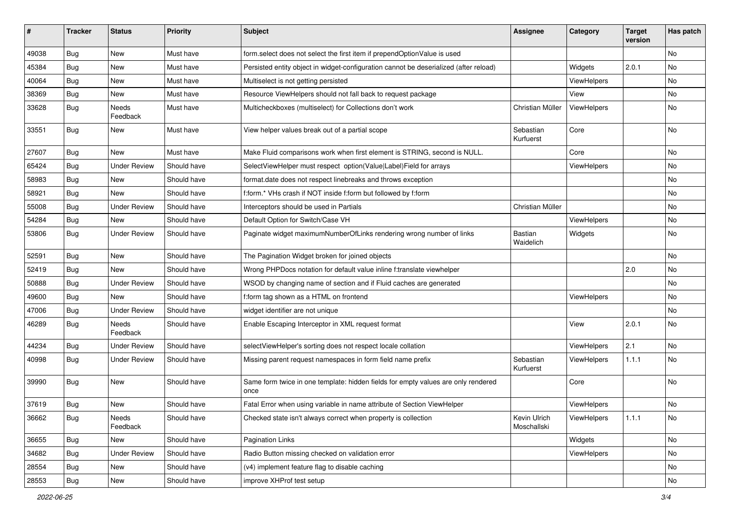| ∦     | <b>Tracker</b> | <b>Status</b>            | <b>Priority</b> | Subject                                                                                   | <b>Assignee</b>             | Category           | <b>Target</b><br>version | Has patch |
|-------|----------------|--------------------------|-----------------|-------------------------------------------------------------------------------------------|-----------------------------|--------------------|--------------------------|-----------|
| 49038 | Bug            | New                      | Must have       | form.select does not select the first item if prependOptionValue is used                  |                             |                    |                          | <b>No</b> |
| 45384 | Bug            | New                      | Must have       | Persisted entity object in widget-configuration cannot be deserialized (after reload)     |                             | Widgets            | 2.0.1                    | <b>No</b> |
| 40064 | Bug            | New                      | Must have       | Multiselect is not getting persisted                                                      |                             | <b>ViewHelpers</b> |                          | No        |
| 38369 | Bug            | <b>New</b>               | Must have       | Resource ViewHelpers should not fall back to request package                              |                             | View               |                          | <b>No</b> |
| 33628 | <b>Bug</b>     | Needs<br>Feedback        | Must have       | Multicheckboxes (multiselect) for Collections don't work                                  | Christian Müller            | ViewHelpers        |                          | No        |
| 33551 | Bug            | New                      | Must have       | View helper values break out of a partial scope                                           | Sebastian<br>Kurfuerst      | Core               |                          | <b>No</b> |
| 27607 | Bug            | <b>New</b>               | Must have       | Make Fluid comparisons work when first element is STRING, second is NULL.                 |                             | Core               |                          | <b>No</b> |
| 65424 | Bug            | <b>Under Review</b>      | Should have     | SelectViewHelper must respect option(Value Label)Field for arrays                         |                             | ViewHelpers        |                          | No        |
| 58983 | Bug            | New                      | Should have     | format.date does not respect linebreaks and throws exception                              |                             |                    |                          | No        |
| 58921 | Bug            | <b>New</b>               | Should have     | f:form.* VHs crash if NOT inside f:form but followed by f:form                            |                             |                    |                          | <b>No</b> |
| 55008 | Bug            | <b>Under Review</b>      | Should have     | Interceptors should be used in Partials                                                   | Christian Müller            |                    |                          | No        |
| 54284 | Bug            | New                      | Should have     | Default Option for Switch/Case VH                                                         |                             | ViewHelpers        |                          | <b>No</b> |
| 53806 | Bug            | <b>Under Review</b>      | Should have     | Paginate widget maximumNumberOfLinks rendering wrong number of links                      | Bastian<br>Waidelich        | Widgets            |                          | No        |
| 52591 | Bug            | New                      | Should have     | The Pagination Widget broken for joined objects                                           |                             |                    |                          | <b>No</b> |
| 52419 | Bug            | New                      | Should have     | Wrong PHPDocs notation for default value inline f:translate viewhelper                    |                             |                    | 2.0                      | <b>No</b> |
| 50888 | Bug            | <b>Under Review</b>      | Should have     | WSOD by changing name of section and if Fluid caches are generated                        |                             |                    |                          | No        |
| 49600 | Bug            | <b>New</b>               | Should have     | f:form tag shown as a HTML on frontend                                                    |                             | ViewHelpers        |                          | <b>No</b> |
| 47006 | Bug            | <b>Under Review</b>      | Should have     | widget identifier are not unique                                                          |                             |                    |                          | No        |
| 46289 | Bug            | <b>Needs</b><br>Feedback | Should have     | Enable Escaping Interceptor in XML request format                                         |                             | View               | 2.0.1                    | <b>No</b> |
| 44234 | Bug            | <b>Under Review</b>      | Should have     | selectViewHelper's sorting does not respect locale collation                              |                             | ViewHelpers        | 2.1                      | <b>No</b> |
| 40998 | Bug            | <b>Under Review</b>      | Should have     | Missing parent request namespaces in form field name prefix                               | Sebastian<br>Kurfuerst      | ViewHelpers        | 1.1.1                    | <b>No</b> |
| 39990 | Bug            | New                      | Should have     | Same form twice in one template: hidden fields for empty values are only rendered<br>once |                             | Core               |                          | <b>No</b> |
| 37619 | Bug            | New                      | Should have     | Fatal Error when using variable in name attribute of Section ViewHelper                   |                             | ViewHelpers        |                          | <b>No</b> |
| 36662 | <b>Bug</b>     | Needs<br>Feedback        | Should have     | Checked state isn't always correct when property is collection                            | Kevin Ulrich<br>Moschallski | ViewHelpers        | 1.1.1                    | No        |
| 36655 | <b>Bug</b>     | New                      | Should have     | <b>Pagination Links</b>                                                                   |                             | Widgets            |                          | No        |
| 34682 | <b>Bug</b>     | <b>Under Review</b>      | Should have     | Radio Button missing checked on validation error                                          |                             | ViewHelpers        |                          | No        |
| 28554 | <b>Bug</b>     | New                      | Should have     | (v4) implement feature flag to disable caching                                            |                             |                    |                          | No        |
| 28553 | <b>Bug</b>     | New                      | Should have     | improve XHProf test setup                                                                 |                             |                    |                          | No        |